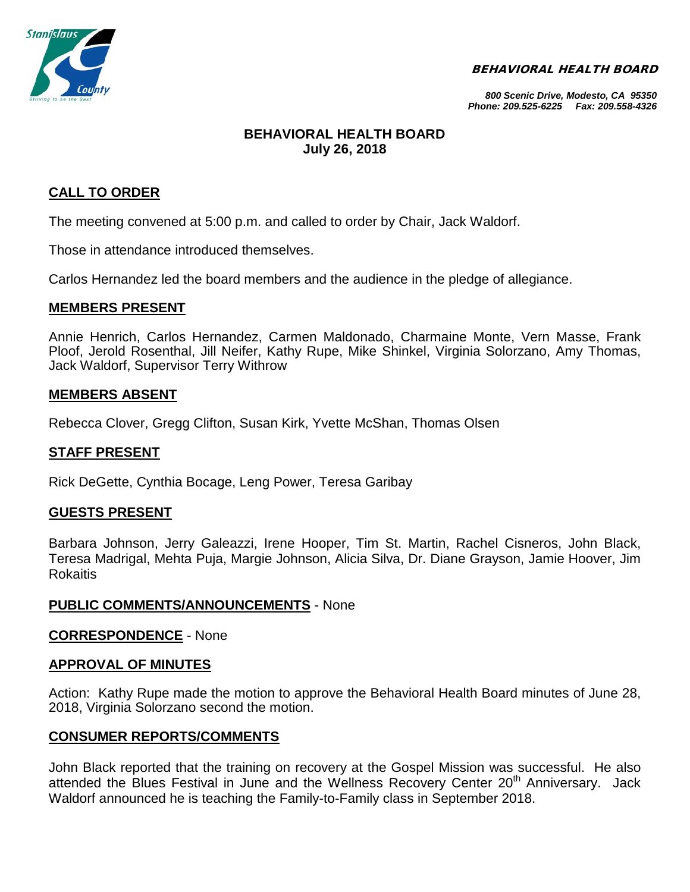BEHAVIORAL HEALTH BOARD



*800 Scenic Drive, Modesto, CA 95350 Phone: 209.525-6225 Fax: 209.558-4326*

# **BEHAVIORAL HEALTH BOARD July 26, 2018**

# **CALL TO ORDER**

The meeting convened at 5:00 p.m. and called to order by Chair, Jack Waldorf.

Those in attendance introduced themselves.

Carlos Hernandez led the board members and the audience in the pledge of allegiance.

## **MEMBERS PRESENT**

Annie Henrich, Carlos Hernandez, Carmen Maldonado, Charmaine Monte, Vern Masse, Frank Ploof, Jerold Rosenthal, Jill Neifer, Kathy Rupe, Mike Shinkel, Virginia Solorzano, Amy Thomas, Jack Waldorf, Supervisor Terry Withrow

## **MEMBERS ABSENT**

Rebecca Clover, Gregg Clifton, Susan Kirk, Yvette McShan, Thomas Olsen

## **STAFF PRESENT**

Rick DeGette, Cynthia Bocage, Leng Power, Teresa Garibay

## **GUESTS PRESENT**

Barbara Johnson, Jerry Galeazzi, Irene Hooper, Tim St. Martin, Rachel Cisneros, John Black, Teresa Madrigal, Mehta Puja, Margie Johnson, Alicia Silva, Dr. Diane Grayson, Jamie Hoover, Jim Rokaitis

## **PUBLIC COMMENTS/ANNOUNCEMENTS** - None

**CORRESPONDENCE** - None

## **APPROVAL OF MINUTES**

Action: Kathy Rupe made the motion to approve the Behavioral Health Board minutes of June 28, 2018, Virginia Solorzano second the motion.

## **CONSUMER REPORTS/COMMENTS**

John Black reported that the training on recovery at the Gospel Mission was successful. He also attended the Blues Festival in June and the Wellness Recovery Center 20<sup>th</sup> Anniversary. Jack Waldorf announced he is teaching the Family-to-Family class in September 2018.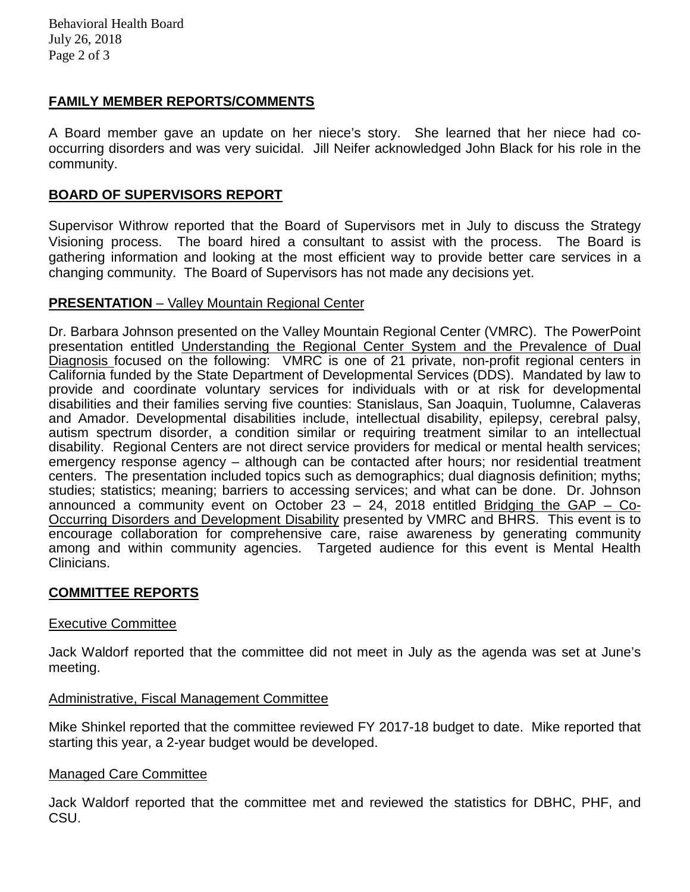## **FAMILY MEMBER REPORTS/COMMENTS**

A Board member gave an update on her niece's story. She learned that her niece had cooccurring disorders and was very suicidal. Jill Neifer acknowledged John Black for his role in the community.

## **BOARD OF SUPERVISORS REPORT**

Supervisor Withrow reported that the Board of Supervisors met in July to discuss the Strategy Visioning process. The board hired a consultant to assist with the process. The Board is gathering information and looking at the most efficient way to provide better care services in a changing community. The Board of Supervisors has not made any decisions yet.

## **PRESENTATION** – Valley Mountain Regional Center

Dr. Barbara Johnson presented on the Valley Mountain Regional Center (VMRC). The PowerPoint presentation entitled Understanding the Regional Center System and the Prevalence of Dual Diagnosis focused on the following: VMRC is one of 21 private, non-profit regional centers in California funded by the State Department of Developmental Services (DDS). Mandated by law to provide and coordinate voluntary services for individuals with or at risk for developmental disabilities and their families serving five counties: Stanislaus, San Joaquin, Tuolumne, Calaveras and Amador. Developmental disabilities include, intellectual disability, epilepsy, cerebral palsy, autism spectrum disorder, a condition similar or requiring treatment similar to an intellectual disability. Regional Centers are not direct service providers for medical or mental health services; emergency response agency – although can be contacted after hours; nor residential treatment centers. The presentation included topics such as demographics; dual diagnosis definition; myths; studies; statistics; meaning; barriers to accessing services; and what can be done. Dr. Johnson announced a community event on October 23 – 24, 2018 entitled Bridging the GAP – Co-Occurring Disorders and Development Disability presented by VMRC and BHRS. This event is to encourage collaboration for comprehensive care, raise awareness by generating community among and within community agencies. Targeted audience for this event is Mental Health Clinicians.

## **COMMITTEE REPORTS**

#### Executive Committee

Jack Waldorf reported that the committee did not meet in July as the agenda was set at June's meeting.

## Administrative, Fiscal Management Committee

Mike Shinkel reported that the committee reviewed FY 2017-18 budget to date. Mike reported that starting this year, a 2-year budget would be developed.

#### Managed Care Committee

Jack Waldorf reported that the committee met and reviewed the statistics for DBHC, PHF, and CSU.